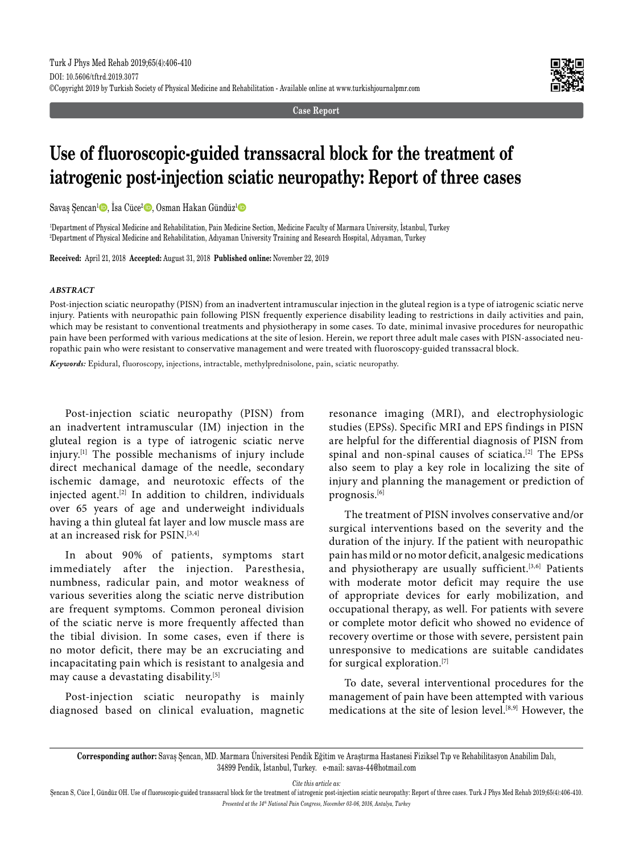**Case Report**



# **Use of fluoroscopic-guided transsacral block for the treatment of iatrogenic post-injection sciatic neuropathy: Report of three cases**

Savaş Şencan<sup>ı</sup> D, İsa Cüce<sup>2</sup> D, Osman Hakan Gündüz<sup>ı</sup> D

1 Department of Physical Medicine and Rehabilitation, Pain Medicine Section, Medicine Faculty of Marmara University, İstanbul, Turkey 2 Department of Physical Medicine and Rehabilitation, Adıyaman University Training and Research Hospital, Adıyaman, Turkey

**Received:** April 21, 2018 **Accepted:** August 31, 2018 **Published online:** November 22, 2019

#### *ABSTRACT*

Post-injection sciatic neuropathy (PISN) from an inadvertent intramuscular injection in the gluteal region is a type of iatrogenic sciatic nerve injury. Patients with neuropathic pain following PISN frequently experience disability leading to restrictions in daily activities and pain, which may be resistant to conventional treatments and physiotherapy in some cases. To date, minimal invasive procedures for neuropathic pain have been performed with various medications at the site of lesion. Herein, we report three adult male cases with PISN-associated neuropathic pain who were resistant to conservative management and were treated with fluoroscopy-guided transsacral block.

*Keywords:* Epidural, fluoroscopy, injections, intractable, methylprednisolone, pain, sciatic neuropathy.

Post-injection sciatic neuropathy (PISN) from an inadvertent intramuscular (IM) injection in the gluteal region is a type of iatrogenic sciatic nerve injury.[1] The possible mechanisms of injury include direct mechanical damage of the needle, secondary ischemic damage, and neurotoxic effects of the injected agent.[2] In addition to children, individuals over 65 years of age and underweight individuals having a thin gluteal fat layer and low muscle mass are at an increased risk for PSIN.[3,4]

In about 90% of patients, symptoms start immediately after the injection. Paresthesia, numbness, radicular pain, and motor weakness of various severities along the sciatic nerve distribution are frequent symptoms. Common peroneal division of the sciatic nerve is more frequently affected than the tibial division. In some cases, even if there is no motor deficit, there may be an excruciating and incapacitating pain which is resistant to analgesia and may cause a devastating disability.[5]

Post-injection sciatic neuropathy is mainly diagnosed based on clinical evaluation, magnetic resonance imaging (MRI), and electrophysiologic studies (EPSs). Specific MRI and EPS findings in PISN are helpful for the differential diagnosis of PISN from spinal and non-spinal causes of sciatica.[2] The EPSs also seem to play a key role in localizing the site of injury and planning the management or prediction of prognosis.[6]

The treatment of PISN involves conservative and/or surgical interventions based on the severity and the duration of the injury. If the patient with neuropathic pain has mild or no motor deficit, analgesic medications and physiotherapy are usually sufficient.<sup>[3,6]</sup> Patients with moderate motor deficit may require the use of appropriate devices for early mobilization, and occupational therapy, as well. For patients with severe or complete motor deficit who showed no evidence of recovery overtime or those with severe, persistent pain unresponsive to medications are suitable candidates for surgical exploration.[7]

To date, several interventional procedures for the management of pain have been attempted with various medications at the site of lesion level.[8,9] However, the

*Cite this article as:*

Şencan S, Cüce İ, Gündüz OH. Use of fluoroscopic-guided transsacral block for the treatment of iatrogenic post-injection sciatic neuropathy: Report of three cases. Turk J Phys Med Rehab 2019;65(4):406-410. *Presented at the 14th National Pain Congress, November 03-06, 2016, Antalya, Turkey*

**Corresponding author:** Savaş Şencan, MD. Marmara Üniversitesi Pendik Eğitim ve Araştırma Hastanesi Fiziksel Tıp ve Rehabilitasyon Anabilim Dalı, 34899 Pendik, İstanbul, Turkey. e-mail: savas-44@hotmail.com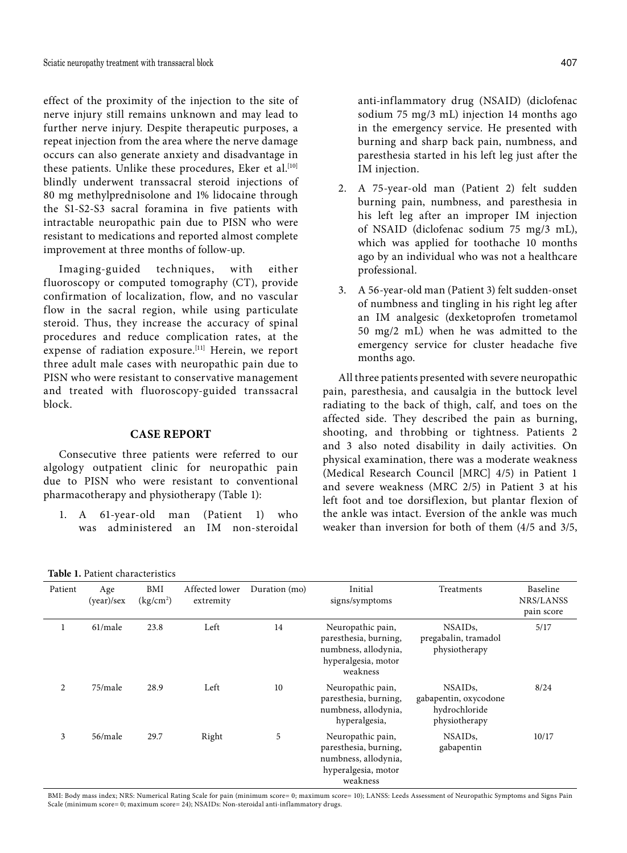effect of the proximity of the injection to the site of nerve injury still remains unknown and may lead to further nerve injury. Despite therapeutic purposes, a repeat injection from the area where the nerve damage occurs can also generate anxiety and disadvantage in these patients. Unlike these procedures, Eker et al.<sup>[10]</sup> blindly underwent transsacral steroid injections of 80 mg methylprednisolone and 1% lidocaine through the S1-S2-S3 sacral foramina in five patients with intractable neuropathic pain due to PISN who were resistant to medications and reported almost complete improvement at three months of follow-up.

Imaging-guided techniques, with either fluoroscopy or computed tomography (CT), provide confirmation of localization, flow, and no vascular flow in the sacral region, while using particulate steroid. Thus, they increase the accuracy of spinal procedures and reduce complication rates, at the expense of radiation exposure.[11] Herein, we report three adult male cases with neuropathic pain due to PISN who were resistant to conservative management and treated with fluoroscopy-guided transsacral block.

## **CASE REPORT**

Consecutive three patients were referred to our algology outpatient clinic for neuropathic pain due to PISN who were resistant to conventional pharmacotherapy and physiotherapy (Table 1):

1. A 61-year-old man (Patient 1) who was administered an IM non-steroidal anti-inflammatory drug (NSAID) (diclofenac sodium 75 mg/3 mL) injection 14 months ago in the emergency service. He presented with burning and sharp back pain, numbness, and paresthesia started in his left leg just after the IM injection.

- 2. A 75-year-old man (Patient 2) felt sudden burning pain, numbness, and paresthesia in his left leg after an improper IM injection of NSAID (diclofenac sodium 75 mg/3 mL), which was applied for toothache 10 months ago by an individual who was not a healthcare professional.
- 3. A 56-year-old man (Patient 3) felt sudden-onset of numbness and tingling in his right leg after an IM analgesic (dexketoprofen trometamol 50 mg/2 mL) when he was admitted to the emergency service for cluster headache five months ago.

All three patients presented with severe neuropathic pain, paresthesia, and causalgia in the buttock level radiating to the back of thigh, calf, and toes on the affected side. They described the pain as burning, shooting, and throbbing or tightness. Patients 2 and 3 also noted disability in daily activities. On physical examination, there was a moderate weakness (Medical Research Council [MRC] 4/5) in Patient 1 and severe weakness (MRC 2/5) in Patient 3 at his left foot and toe dorsiflexion, but plantar flexion of the ankle was intact. Eversion of the ankle was much weaker than inversion for both of them (4/5 and 3/5,

**Table 1.** Patient characteristics

| Patient | Age<br>(year)/sex | BMI<br>(kg/cm <sup>2</sup> ) | Affected lower<br>extremity | Duration (mo) | Initial<br>signs/symptoms                                                                             | Treatments                                                                      | Baseline<br>NRS/LANSS<br>pain score |
|---------|-------------------|------------------------------|-----------------------------|---------------|-------------------------------------------------------------------------------------------------------|---------------------------------------------------------------------------------|-------------------------------------|
| 1       | $61$ /male        | 23.8                         | Left                        | 14            | Neuropathic pain,<br>paresthesia, burning,<br>numbness, allodynia,<br>hyperalgesia, motor<br>weakness | NSAID <sub>s</sub> ,<br>pregabalin, tramadol<br>physiotherapy                   | 5/17                                |
| 2       | 75/male           | 28.9                         | Left                        | 10            | Neuropathic pain,<br>paresthesia, burning,<br>numbness, allodynia,<br>hyperalgesia,                   | NSAID <sub>s</sub> .<br>gabapentin, oxycodone<br>hydrochloride<br>physiotherapy | 8/24                                |
| 3       | 56/male           | 29.7                         | Right                       | 5             | Neuropathic pain,<br>paresthesia, burning,<br>numbness, allodynia,<br>hyperalgesia, motor<br>weakness | NSAID <sub>s</sub> ,<br>gabapentin                                              | 10/17                               |

BMI: Body mass index; NRS: Numerical Rating Scale for pain (minimum score= 0; maximum score= 10); LANSS: Leeds Assessment of Neuropathic Symptoms and Signs Pain Scale (minimum score= 0; maximum score= 24); NSAIDs: Non-steroidal anti-inflammatory drugs.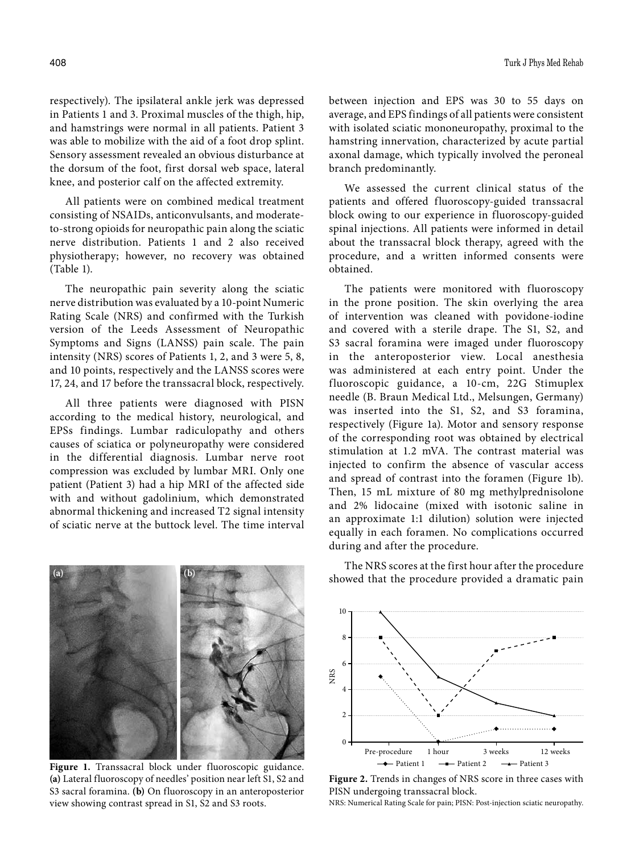respectively). The ipsilateral ankle jerk was depressed in Patients 1 and 3. Proximal muscles of the thigh, hip, and hamstrings were normal in all patients. Patient 3 was able to mobilize with the aid of a foot drop splint. Sensory assessment revealed an obvious disturbance at the dorsum of the foot, first dorsal web space, lateral knee, and posterior calf on the affected extremity.

All patients were on combined medical treatment consisting of NSAIDs, anticonvulsants, and moderateto-strong opioids for neuropathic pain along the sciatic nerve distribution. Patients 1 and 2 also received physiotherapy; however, no recovery was obtained (Table 1).

The neuropathic pain severity along the sciatic nerve distribution was evaluated by a 10-point Numeric Rating Scale (NRS) and confirmed with the Turkish version of the Leeds Assessment of Neuropathic Symptoms and Signs (LANSS) pain scale. The pain intensity (NRS) scores of Patients 1, 2, and 3 were 5, 8, and 10 points, respectively and the LANSS scores were 17, 24, and 17 before the transsacral block, respectively.

All three patients were diagnosed with PISN according to the medical history, neurological, and EPSs findings. Lumbar radiculopathy and others causes of sciatica or polyneuropathy were considered in the differential diagnosis. Lumbar nerve root compression was excluded by lumbar MRI. Only one patient (Patient 3) had a hip MRI of the affected side with and without gadolinium, which demonstrated abnormal thickening and increased T2 signal intensity of sciatic nerve at the buttock level. The time interval

**(a) (b)**

between injection and EPS was 30 to 55 days on average, and EPS findings of all patients were consistent with isolated sciatic mononeuropathy, proximal to the hamstring innervation, characterized by acute partial axonal damage, which typically involved the peroneal branch predominantly.

We assessed the current clinical status of the patients and offered fluoroscopy-guided transsacral block owing to our experience in fluoroscopy-guided spinal injections. All patients were informed in detail about the transsacral block therapy, agreed with the procedure, and a written informed consents were obtained.

The patients were monitored with fluoroscopy in the prone position. The skin overlying the area of intervention was cleaned with povidone-iodine and covered with a sterile drape. The S1, S2, and S3 sacral foramina were imaged under fluoroscopy in the anteroposterior view. Local anesthesia was administered at each entry point. Under the fluoroscopic guidance, a 10-cm, 22G Stimuplex needle (B. Braun Medical Ltd., Melsungen, Germany) was inserted into the S1, S2, and S3 foramina, respectively (Figure 1a). Motor and sensory response of the corresponding root was obtained by electrical stimulation at 1.2 mVA. The contrast material was injected to confirm the absence of vascular access and spread of contrast into the foramen (Figure 1b). Then, 15 mL mixture of 80 mg methylprednisolone and 2% lidocaine (mixed with isotonic saline in an approximate 1:1 dilution) solution were injected equally in each foramen. No complications occurred during and after the procedure.



**(a)** Lateral fluoroscopy of needles' position near left S1, S2 and S3 sacral foramina. **(b)** On fluoroscopy in an anteroposterior view showing contrast spread in S1, S2 and S3 roots.

The NRS scores at the first hour after the procedure showed that the procedure provided a dramatic pain



**Figure 2.** Trends in changes of NRS score in three cases with PISN undergoing transsacral block.

NRS: Numerical Rating Scale for pain; PISN: Post-injection sciatic neuropathy.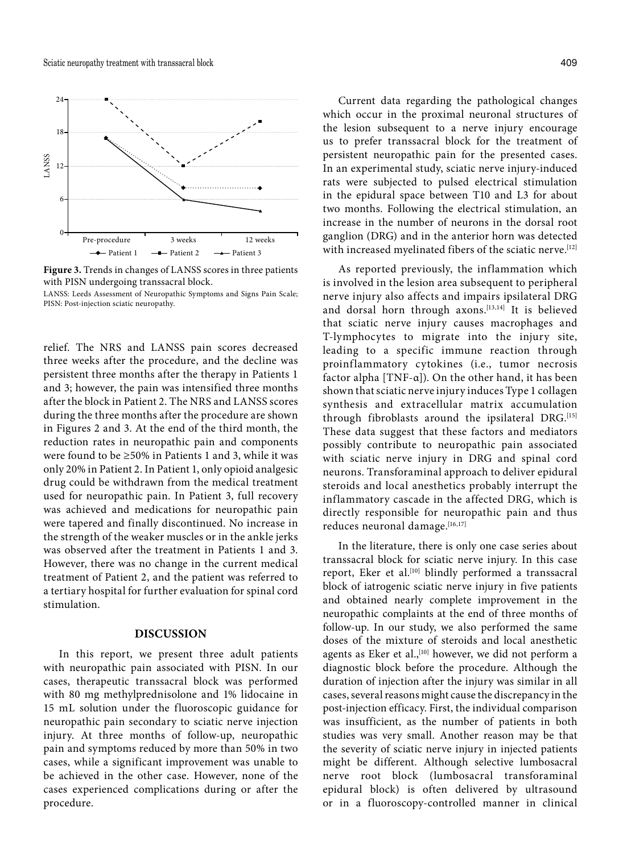

**Figure 3.** Trends in changes of LANSS scores in three patients with PISN undergoing transsacral block.

LANSS: Leeds Assessment of Neuropathic Symptoms and Signs Pain Scale; PISN: Post-injection sciatic neuropathy.

relief. The NRS and LANSS pain scores decreased three weeks after the procedure, and the decline was persistent three months after the therapy in Patients 1 and 3; however, the pain was intensified three months after the block in Patient 2. The NRS and LANSS scores during the three months after the procedure are shown in Figures 2 and 3. At the end of the third month, the reduction rates in neuropathic pain and components were found to be ≥50% in Patients 1 and 3, while it was only 20% in Patient 2. In Patient 1, only opioid analgesic drug could be withdrawn from the medical treatment used for neuropathic pain. In Patient 3, full recovery was achieved and medications for neuropathic pain were tapered and finally discontinued. No increase in the strength of the weaker muscles or in the ankle jerks was observed after the treatment in Patients 1 and 3. However, there was no change in the current medical treatment of Patient 2, and the patient was referred to a tertiary hospital for further evaluation for spinal cord stimulation.

## **DISCUSSION**

In this report, we present three adult patients with neuropathic pain associated with PISN. In our cases, therapeutic transsacral block was performed with 80 mg methylprednisolone and 1% lidocaine in 15 mL solution under the fluoroscopic guidance for neuropathic pain secondary to sciatic nerve injection injury. At three months of follow-up, neuropathic pain and symptoms reduced by more than 50% in two cases, while a significant improvement was unable to be achieved in the other case. However, none of the cases experienced complications during or after the procedure.

Current data regarding the pathological changes which occur in the proximal neuronal structures of the lesion subsequent to a nerve injury encourage us to prefer transsacral block for the treatment of persistent neuropathic pain for the presented cases. In an experimental study, sciatic nerve injury-induced rats were subjected to pulsed electrical stimulation in the epidural space between T10 and L3 for about two months. Following the electrical stimulation, an increase in the number of neurons in the dorsal root ganglion (DRG) and in the anterior horn was detected with increased myelinated fibers of the sciatic nerve.<sup>[12]</sup>

As reported previously, the inflammation which is involved in the lesion area subsequent to peripheral nerve injury also affects and impairs ipsilateral DRG and dorsal horn through axons.<sup>[13,14]</sup> It is believed that sciatic nerve injury causes macrophages and T-lymphocytes to migrate into the injury site, leading to a specific immune reaction through proinflammatory cytokines (i.e., tumor necrosis factor alpha  $[TNF-\alpha]$ ). On the other hand, it has been shown that sciatic nerve injury induces Type 1 collagen synthesis and extracellular matrix accumulation through fibroblasts around the ipsilateral DRG.<sup>[15]</sup> These data suggest that these factors and mediators possibly contribute to neuropathic pain associated with sciatic nerve injury in DRG and spinal cord neurons. Transforaminal approach to deliver epidural steroids and local anesthetics probably interrupt the inflammatory cascade in the affected DRG, which is directly responsible for neuropathic pain and thus reduces neuronal damage.<sup>[16,17]</sup>

In the literature, there is only one case series about transsacral block for sciatic nerve injury. In this case report, Eker et al.<sup>[10]</sup> blindly performed a transsacral block of iatrogenic sciatic nerve injury in five patients and obtained nearly complete improvement in the neuropathic complaints at the end of three months of follow-up. In our study, we also performed the same doses of the mixture of steroids and local anesthetic agents as Eker et al.,<sup>[10]</sup> however, we did not perform a diagnostic block before the procedure. Although the duration of injection after the injury was similar in all cases, several reasons might cause the discrepancy in the post-injection efficacy. First, the individual comparison was insufficient, as the number of patients in both studies was very small. Another reason may be that the severity of sciatic nerve injury in injected patients might be different. Although selective lumbosacral nerve root block (lumbosacral transforaminal epidural block) is often delivered by ultrasound or in a fluoroscopy-controlled manner in clinical